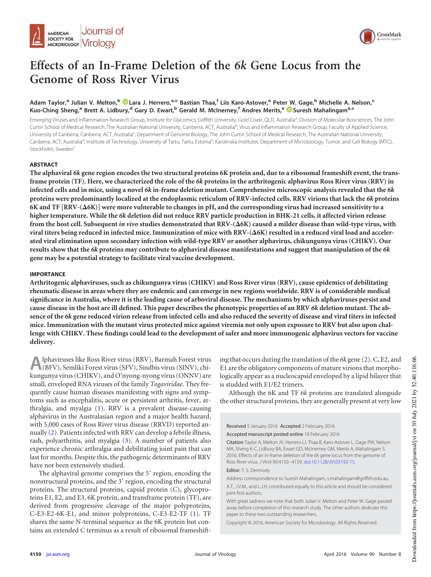



# **Effects of an In-Frame Deletion of the** *6k* **Gene Locus from the Genome of Ross River Virus**

## **Adam Taylor,<sup>a</sup> Julian V. Melton,<sup>b</sup> Lara J. Herrero,a,c Bastian Thaa,<sup>f</sup> Liis Karo-Astover,<sup>e</sup> Peter W. Gage,<sup>b</sup> Michelle A. Nelson,<sup>c</sup> Kuo-Ching Sheng,<sup>a</sup> Brett A. Lidbury,<sup>d</sup> Gary D. Ewart,<sup>b</sup> Gerald M. McInerney,<sup>f</sup> Andres Merits,<sup>e</sup> Suresh Mahalingama,c**

Emerging Viruses and Inflammation Research Group, Institute for Glycomics, Griffith University, Gold Coast, QLD, Australia<sup>a</sup>; Division of Molecular Biosciences, The John Curtin School of Medical Research, The Australian National University, Canberra, ACT, Australia<sup>b</sup>; Virus and Inflammation Research Group, Faculty of Applied Science, University of Canberra, Canberra, ACT, Australia<sup>c</sup>; Department of Genome Biology, The John Curtin School of Medical Research, The Australian National University, Canberra, ACT, Australia<sup>d</sup>; Institute of Technology, University of Tartu, Tartu, Estonia<sup>e</sup>; Karolinska Institutet, Department of Microbiology, Tumor, and Cell Biology (MTC), Stockholm, Sweden<sup>f</sup>

### **ABSTRACT**

**The alphaviral** *6k* **gene region encodes the two structural proteins 6K protein and, due to a ribosomal frameshift event, the transframe protein (TF). Here, we characterized the role of the** *6k* **proteins in the arthritogenic alphavirus Ross River virus (RRV) in infected cells and in mice, using a novel** *6k* **in-frame deletion mutant. Comprehensive microscopic analysis revealed that the** *6k* **proteins were predominantly localized at the endoplasmic reticulum of RRV-infected cells. RRV virions that lack the** *6k* **proteins**  $\overline{\rm 6K}$  and TF [RRV-( $\Delta$ 6K)] were more vulnerable to changes in pH, and the corresponding virus had increased sensitivity to a **higher temperature. While the** *6k* **deletion did not reduce RRV particle production in BHK-21 cells, it affected virion release** from the host cell. Subsequent *in vivo* studies demonstrated that RRV-( $\Delta$ 6K) caused a milder disease than wild-type virus, with viral titers being reduced in infected mice. Immunization of mice with RRV-(**Δ6K) resulted in a reduced viral load and** acceler**ated viral elimination upon secondary infection with wild-type RRV or another alphavirus, chikungunya virus (CHIKV). Our results show that the** *6k* **proteins may contribute to alphaviral disease manifestations and suggest that manipulation of the** *6k* **gene may be a potential strategy to facilitate viral vaccine development.**

#### **IMPORTANCE**

**Arthritogenic alphaviruses, such as chikungunya virus (CHIKV) and Ross River virus (RRV), cause epidemics of debilitating rheumatic disease in areas where they are endemic and can emerge in new regions worldwide. RRV is of considerable medical significance in Australia, where it is the leading cause of arboviral disease. The mechanisms by which alphaviruses persist and cause disease in the host are ill defined. This paper describes the phenotypic properties of an RRV** *6k* **deletion mutant. The absence of the** *6k* **gene reduced virion release from infected cells and also reduced the severity of disease and viral titers in infected mice. Immunization with the mutant virus protected mice against viremia not only upon exposure to RRV but also upon challenge with CHIKV. These findings could lead to the development of safer and more immunogenic alphavirus vectors for vaccine delivery.**

**A** lphaviruses like Ross River virus (RRV), Barmah Forest virus (BFV), Semliki Forest virus (SFV), Sindbis virus (SINV), chikungunya virus (CHIKV), and O'nyong-nyong virus (ONNV) are lphaviruses like Ross River virus (RRV), Barmah Forest virus (BFV), Semliki Forest virus (SFV), Sindbis virus (SINV), chismall, enveloped RNA viruses of the family *Togaviridae*. They frequently cause human diseases manifesting with signs and symptoms such as encephalitis, acute or persistent arthritis, fever, arthralgia, and myalgia [\(1\)](#page-8-0). RRV is a prevalent disease-causing alphavirus in the Australasian region and a major health hazard, with 5,000 cases of Ross River virus disease (RRVD) reported annually [\(2\)](#page-8-1). Patients infected with RRV can develop a febrile illness, rash, polyarthritis, and myalgia [\(3\)](#page-8-2). A number of patients also experience chronic arthralgia and debilitating joint pain that can last for months. Despite this, the pathogenic determinants of RRV have not been extensively studied.

The alphaviral genome comprises the 5' region, encoding the nonstructural proteins, and the 3' region, encoding the structural proteins. The structural proteins, capsid protein (C), glycoproteins E1, E2, and E3, 6K protein, and transframe protein (TF), are derived from progressive cleavage of the major polyproteins, C-E3-E2-6K-E1, and minor polyproteins, C-E3-E2-TF [\(1\)](#page-8-0). TF shares the same N-terminal sequence as the 6K protein but contains an extended C terminus as a result of ribosomal frameshifting that occurs during the translation of the *6k* gene [\(2\)](#page-8-1). C, E2, and E1 are the obligatory components of mature virions that morphologically appear as a nucleocapsid enveloped by a lipid bilayer that is studded with E1/E2 trimers.

Although the 6K and TF *6k* proteins are translated alongside the other structural proteins, they are generally present at very low

Received 5 January 2016 Accepted 2 February 2016

Accepted manuscript posted online 10 February 2016

Citation Taylor A, Melton JV, Herrero LJ, Thaa B, Karo-Astover L, Gage PW, Nelson MA, Sheng K-C, Lidbury BA, Ewart GD, McInerney GM, Merits A, Mahalingam S. 2016. Effects of an in-frame deletion of the *6k* gene locus from the genome of Ross River virus. J Virol 90:4150 –4159. doi:10.1128/JVI.03192-15.

Editor: T. S. Dermody

Address correspondence to Suresh Mahalingam, s.mahalingam@griffith.edu.au. A.T., J.V.M., and L.J.H. contributed equally to this article and should be considered joint first authors.

With great sadness we note that both Julian V. Melton and Peter W. Gage passed away before completion of this research study. The other authors dedicate this paper to these two outstanding researchers.

Copyright © 2016, American Society for Microbiology. All Rights Reserved.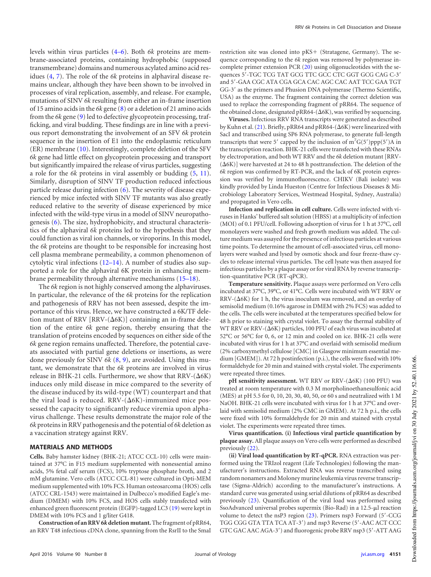levels within virus particles [\(4](#page-8-3)[–](#page-8-4)[6\)](#page-8-5). Both *6k* proteins are membrane-associated proteins, containing hydrophobic (supposed transmembrane) domains and numerous acylated amino acid residues [\(4,](#page-8-3) [7\)](#page-8-6). The role of the *6k* proteins in alphaviral disease remains unclear, although they have been shown to be involved in processes of viral replication, assembly, and release. For example, mutations of SINV *6k* resulting from either an in-frame insertion of 15 amino acids in the *6k* gene [\(8\)](#page-9-0) or a deletion of 21 amino acids from the *6k* gene [\(9\)](#page-9-1) led to defective glycoprotein processing, trafficking, and viral budding. These findings are in line with a previous report demonstrating the involvement of an SFV *6k* protein sequence in the insertion of E1 into the endoplasmic reticulum (ER) membrane [\(10\)](#page-9-2). Interestingly, complete deletion of the SFV *6k* gene had little effect on glycoprotein processing and transport but significantly impaired the release of virus particles, suggesting a role for the *6k* proteins in viral assembly or budding [\(5,](#page-8-4) [11\)](#page-9-3). Similarly, disruption of SINV TF production reduced infectious particle release during infection [\(6\)](#page-8-5). The severity of disease experienced by mice infected with SINV TF mutants was also greatly reduced relative to the severity of disease experienced by mice infected with the wild-type virus in a model of SINV neuropathogenesis [\(6\)](#page-8-5). The size, hydrophobicity, and structural characteristics of the alphaviral *6k* proteins led to the hypothesis that they could function as viral ion channels, or viroporins. In this model, the *6k* proteins are thought to be responsible for increasing host cell plasma membrane permeability, a common phenomenon of cytolytic viral infections [\(12](#page-9-4)[–](#page-9-5)[14\)](#page-9-6). A number of studies also supported a role for the alphaviral 6K protein in enhancing membrane permeability through alternative mechanisms [\(15](#page-9-7)[–](#page-9-8)[18\)](#page-9-9).

The *6k* region is not highly conserved among the alphaviruses. In particular, the relevance of the *6k* proteins for the replication and pathogenesis of RRV has not been assessed, despite the importance of this virus. Hence, we have constructed a 6K/TF deletion mutant of RRV [RRV- $(\Delta 6K)$ ] containing an in-frame deletion of the entire *6k* gene region, thereby ensuring that the translation of proteins encoded by sequences on either side of the *6k* gene region remains unaffected. Therefore, the potential caveats associated with partial gene deletions or insertions, as were done previously for SINV *6k* [\(8,](#page-9-0) [9\)](#page-9-1), are avoided. Using this mutant, we demonstrate that the *6k* proteins are involved in virus release in BHK-21 cells. Furthermore, we show that RRV- $(\Delta 6K)$ induces only mild disease in mice compared to the severity of the disease induced by its wild-type (WT) counterpart and that the viral load is reduced.  $RRV-(\Delta 6K)$ -immunized mice possessed the capacity to significantly reduce viremia upon alphavirus challenge. These results demonstrate the major role of the *6k* proteins in RRV pathogenesis and the potential of *6k* deletion as a vaccination strategy against RRV.

### **MATERIALS AND METHODS**

**Cells.** Baby hamster kidney (BHK-21; ATCC CCL-10) cells were maintained at 37°C in F15 medium supplemented with nonessential amino acids, 5% fetal calf serum (FCS), 10% tryptose phosphate broth, and 2 mM glutamine. Vero cells (ATCC CCL-81) were cultured in Opti-MEM medium supplemented with 10% FCS. Human osteosarcoma (HOS) cells (ATCC CRL-1543) were maintained in Dulbecco's modified Eagle's medium (DMEM) with 10% FCS, and HOS cells stably transfected with enhanced green fluorescent protein (EGFP)-tagged LC3 [\(19\)](#page-9-10) were kept in DMEM with 10% FCS and 1 g/liter G418.

**Construction of an RRV 6***k* **deletion mutant.**Thefragment of pRR64, an RRV T48 infectious cDNA clone, spanning from the RsrII to the SmaI restriction site was cloned into pKS+ (Stratagene, Germany). The sequence corresponding to the *6k* region was removed by polymerase incomplete primer extension PCR [\(20\)](#page-9-11) using oligonucleotides with the sequences 5'-TGC TCG TAT GCG TTC GCC CTC GGT GCG CAG C-3' and 5'-GAA CGC ATA CGA GCA CAC AGC CAC AAT TCC GAA TGT GG-3' as the primers and Phusion DNA polymerase (Thermo Scientific, USA) as the enzyme. The fragment containing the correct deletion was used to replace the corresponding fragment of pRR64. The sequence of the obtained clone, designated pRR64- $(\Delta$ 6K), was verified by sequencing.

**Viruses.** Infectious RRV RNA transcripts were generated as described by Kuhn et al. [\(21\)](#page-9-12). Briefly, pRR64 and pRR64-( $\Delta$ 6K) were linearized with SacI and transcribed using SP6 RNA polymerase, to generate full-length transcripts that were 5' capped by the inclusion of  $m<sup>7</sup>G(5')ppp(5')A$  in the transcription reaction. BHK-21 cells were transfected with these RNAs by electroporation, and both WT RRV and the *6k* deletion mutant [RRV-  $(Δ6K)$ ] were harvested at 24 to 48 h posttransfection. The deletion of the *6k* region was confirmed by RT-PCR, and the lack of 6K protein expression was verified by immunofluorescence. CHIKV (Bali isolate) was kindly provided by Linda Hueston (Centre for Infectious Diseases & Microbiology Laboratory Services, Westmead Hospital, Sydney, Australia) and propagated in Vero cells.

**Infection and replication in cell culture.** Cells were infected with viruses in Hanks' buffered salt solution (HBSS) at a multiplicity of infection (MOI) of 0.1 PFU/cell. Following adsorption of virus for 1 h at 37°C, cell monolayers were washed and fresh growth medium was added. The culture medium was assayed for the presence of infectious particles at various time points. To determine the amount of cell-associated virus, cell monolayers were washed and lysed by osmotic shock and four freeze-thaw cycles to release internal virus particles. The cell lysate was then assayed for infectious particles by a plaque assay or for viral RNA by reverse transcription-quantitative PCR (RT-qPCR).

**Temperature sensitivity.** Plaque assays were performed on Vero cells incubated at 37°C, 39°C, or 41°C. Cells were incubated with WT RRV or  $RRV-(\Delta 6K)$  for 1 h, the virus inoculum was removed, and an overlay of semisolid medium (0.16% agarose in DMEM with 2% FCS) was added to the cells. The cells were incubated at the temperatures specified below for 48 h prior to staining with crystal violet. To assay the thermal stability of WT RRV or RRV-( $\Delta$ 6K) particles, 100 PFU of each virus was incubated at 52°C or 56°C for 0, 6, or 12 min and cooled on ice. BHK-21 cells were incubated with virus for 1 h at 37°C and overlaid with semisolid medium (2% carboxymethyl cellulose [CMC] in Glasgow minimum essential medium [GMEM]). At 72 h postinfection (p.i.), the cells were fixed with 10% formaldehyde for 20 min and stained with crystal violet. The experiments were repeated three times.

pH sensitivity assessment. WT RRV or RRV-( $\Delta$ 6K) (100 PFU) was treated at room temperature with 0.3 M morpholinoethanesulfonic acid (MES) at pH 5.5 for 0, 10, 20, 30, 40, 50, or 60 s and neutralized with 1 M NaOH. BHK-21 cells were incubated with virus for 1 h at 37°C and overlaid with semisolid medium (2% CMC in GMEM). At 72 h p.i., the cells were fixed with 10% formaldehyde for 20 min and stained with crystal violet. The experiments were repeated three times.

**Virus quantification. (i) Infectious viral particle quantification by plaque assay.** All plaque assays on Vero cells were performed as described previously [\(22\)](#page-9-13).

**(ii) Viral load quantification by RT-qPCR.** RNA extraction was performed using the TRIzol reagent (Life Technologies) following the manufacturer's instructions. Extracted RNA was reverse transcribed using random nonamers and Moloney murine leukemia virus reverse transcriptase (Sigma-Aldrich) according to the manufacturer's instructions. A standard curve was generated using serial dilutions of pRR64 as described previously [\(23\)](#page-9-14). Quantification of the viral load was performed using SsoAdvanced universal probes supermix (Bio-Rad) in a 12.5-µl reaction volume to detect the nsP3 region [\(23\)](#page-9-14). Primers nsp3 Forward (5'-CCG TGG CGG GTA TTA TCA AT-3') and nsp3 Reverse (5'-AAC ACT CCC GTC GAC AAC AGA-3') and fluorogenic probe RRV nsp3 (5'-ATT AAG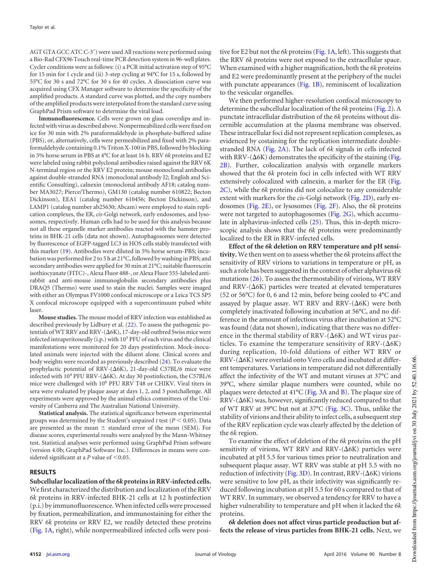AGT GTA GCC ATC C-3') were used All reactions were performed using a Bio-Rad CFX96 Touch real-time PCR detection system in 96-well plates. Cycler conditions were as follows: (i) a PCR initial activation step of 95°C for 15 min for 1 cycle and (ii) 3-step cycling at 94°C for 15 s, followed by 55°C for 30 s and 72°C for 30 s for 40 cycles. A dissociation curve was acquired using CFX Manager software to determine the specificity of the amplified products. A standard curve was plotted, and the copy numbers of the amplified products were interpolated from the standard curve using GraphPad Prism software to determine the viral load.

**Immunofluorescence.** Cells were grown on glass coverslips and infected with virus as described above. Nonpermeabilized cells were fixed on ice for 30 min with 2% paraformaldehyde in phosphate-buffered saline (PBS), or, alternatively, cells were permeabilized and fixed with 2% paraformaldehyde containing 0.1% Triton X-100 in PBS, followed by blocking in 5% horse serum in PBS at 4°C for at least 16 h. RRV *6k* proteins and E2 were labeled using rabbit polyclonal antibodies raised against the RRV 6K N-terminal region or the RRV E2 protein; mouse monoclonal antibodies against double-stranded RNA (monoclonal antibody J2; English and Scientific Consulting), calnexin (monoclonal antibody AF18; catalog number MA3027; Pierce/Thermo), GM130 (catalog number 610822; Becton Dickinson), EEA1 (catalog number 610456; Becton Dickinson), and LAMP1 (catalog number ab25630; Abcam) were employed to stain replication complexes, the ER, *cis*-Golgi network, early endosomes, and lysosomes, respectively. Human cells had to be used for this analysis because not all these organelle marker antibodies reacted with the hamster proteins in BHK-21 cells (data not shown). Autophagosomes were detected by fluorescence of EGFP-tagged LC3 in HOS cells stably transfected with this marker [\(19\)](#page-9-10). Antibodies were diluted in 5% horse serum-PBS; incubation was performed for 2 to 5 h at 21°C, followed by washing in PBS; and secondary antibodies were applied for 30 min at 21°C; suitable fluorescein isothiocyanate (FITC)-, Alexa Fluor 488-, or Alexa Fluor 555-labeled antirabbit and anti-mouse immunoglobulin secondary antibodies plus DRAQ5 (Thermo) were used to stain the nuclei. Samples were imaged with either an Olympus FV1000 confocal microscope or a Leica TCS SP5 X confocal microscope equipped with a supercontinuum pulsed white laser.

**Mouse studies.** The mouse model of RRV infection was established as described previously by Lidbury et al. [\(22\)](#page-9-13). To assess the pathogenic potentials of WT RRV and RRV-( $\Delta$ 6K), 17-day-old outbred Swiss mice were infected intraperitoneally (i.p.) with  $10^3$  PFU of each virus and the clinical manifestations were monitored for 20 days postinfection. Mock-inoculated animals were injected with the diluent alone. Clinical scores and body weights were recorded as previously described [\(24\)](#page-9-15). To evaluate the prophylactic potential of RRV- $(\Delta 6K)$ , 21-day-old C57BL/6 mice were infected with  $10^4$  PFU RRV-( $\Delta$ 6K). At day 30 postinfection, the C57BL/6 mice were challenged with 10<sup>6</sup> PFU RRV T48 or CHIKV. Viral titers in sera were evaluated by plaque assay at days 1, 2, and 3 postchallenge. All experiments were approved by the animal ethics committees of the University of Canberra and The Australian National University.

**Statistical analysis.** The statistical significance between experimental groups was determined by the Student's unpaired  $t$  test ( $P < 0.05$ ). Data are presented as the mean  $\pm$  standard error of the mean (SEM). For disease scores, experimental results were analyzed by the Mann-Whitney test. Statistical analyses were performed using GraphPad Prism software (version 4.0b; GraphPad Software Inc.). Differences in means were considered significant at a  $P$  value of  $\leq 0.05$ .

### **RESULTS**

**Subcellular localization of the** *6k* **proteins in RRV-infected cells.** We first characterized the distribution and localization of the RRV *6k* proteins in RRV-infected BHK-21 cells at 12 h postinfection (p.i.) by immunofluorescence.When infected cells were processed by fixation, permeabilization, and immunostaining for either the RRV *6k* proteins or RRV E2, we readily detected these proteins [\(Fig. 1A,](#page-3-0) right), while nonpermeabilized infected cells were positive for E2 but not the *6k* proteins [\(Fig. 1A,](#page-3-0) left). This suggests that the RRV *6k* proteins were not exposed to the extracellular space. When examined with a higher magnification, both the *6k* proteins and E2 were predominantly present at the periphery of the nuclei with punctate appearances [\(Fig. 1B\)](#page-3-0), reminiscent of localization to the vesicular organelles.

We then performed higher-resolution confocal microscopy to determine the subcellular localization of the *6k* proteins [\(Fig. 2\)](#page-4-0). A punctate intracellular distribution of the *6k* proteins without discernible accumulation at the plasma membrane was observed. These intracellular foci did not represent replication complexes, as evidenced by costaining for the replication intermediate doublestranded RNA [\(Fig. 2A\)](#page-4-0). The lack of *6k* signals in cells infected with RRV-( $\Delta$ 6K) demonstrates the specificity of the staining [\(Fig.](#page-4-0) [2B\)](#page-4-0). Further, colocalization analysis with organelle markers showed that the *6k* protein foci in cells infected with WT RRV extensively colocalized with calnexin, a marker for the ER [\(Fig.](#page-4-0) [2C\)](#page-4-0), while the *6k* proteins did not colocalize to any considerable extent with markers for the *cis*-Golgi network [\(Fig. 2D\)](#page-4-0), early endosomes [\(Fig. 2E\)](#page-4-0), or lysosomes [\(Fig. 2F\)](#page-4-0). Also, the *6k* proteins were not targeted to autophagosomes [\(Fig. 2G\)](#page-4-0), which accumulate in alphavirus-infected cells [\(25\)](#page-9-16). Thus, this in-depth microscopic analysis shows that the *6k* proteins were predominantly localized to the ER in RRV-infected cells.

**Effect of the** *6k* **deletion on RRV temperature and pH sensitivity.** We then went on to assess whether the *6k* proteins affect the sensitivity of RRV virions to variations in temperature or pH, as such a role has been suggested in the context of other alphavirus *6k* mutations [\(26\)](#page-9-17). To assess the thermostability of virions, WT RRV and RRV- $(\Delta 6K)$  particles were treated at elevated temperatures (52 or 56°C) for 0, 6 and 12 min, before being cooled to 4°C and assayed by plaque assay. WT RRV and RRV- $(\Delta 6K)$  were both completely inactivated following incubation at 56°C, and no difference in the amount of infectious virus after incubation at 52°C was found (data not shown), indicating that there was no difference in the thermal stability of RRV- $(\Delta 6K)$  and WT virus particles. To examine the temperature sensitivity of RRV- $(\Delta 6K)$ during replication, 10-fold dilutions of either WT RRV or  $\mathrm{RRV}\text{-}\mathrm{(\Delta6K)}$  were overlaid onto Vero cells and incubated at different temperatures. Variations in temperature did not differentially affect the infectivity of the WT and mutant viruses at 37°C and 39°C, where similar plaque numbers were counted, while no plaques were detected at 41°C [\(Fig. 3A](#page-5-0) and [B\)](#page-5-0). The plaque size of  $RRV-(\Delta6K)$  was, however, significantly reduced compared to that of WT RRV at 39°C but not at 37°C [\(Fig. 3C\)](#page-5-0). Thus, unlike the stability of virions and their ability to infect cells, a subsequent step of the RRV replication cycle was clearly affected by the deletion of the *6k* region.

To examine the effect of deletion of the *6k* proteins on the pH sensitivity of virions, WT RRV and RRV- $(\Delta 6K)$  particles were incubated at pH 5.5 for various times prior to neutralization and subsequent plaque assay. WT RRV was stable at pH 5.5 with no reduction of infectivity [\(Fig. 3D\)](#page-5-0). In contrast,  $RRV-(\Delta 6K)$  virions were sensitive to low pH, as their infectivity was significantly reduced following incubation at pH 5.5 for 60 s compared to that of WT RRV. In summary, we observed a tendency for RRV to have a higher vulnerability to temperature and pH when it lacked the *6k* proteins.

*6k* **deletion does not affect virus particle production but affects the release of virus particles from BHK-21 cells.** Next, we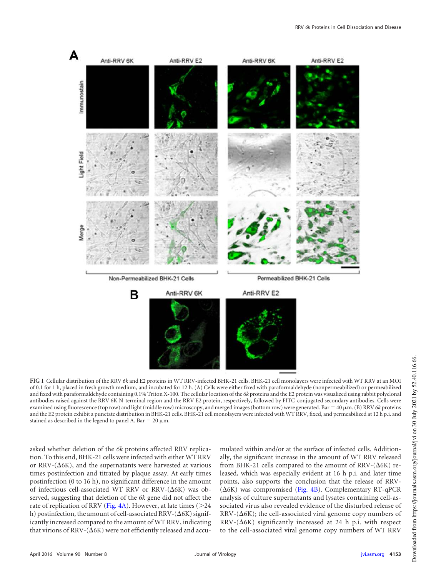

<span id="page-3-0"></span>**FIG 1** Cellular distribution of the RRV *6k* and E2 proteins in WT RRV-infected BHK-21 cells. BHK-21 cell monolayers were infected with WT RRV at an MOI of 0.1 for 1 h, placed in fresh growth medium, and incubated for 12 h. (A) Cells were either fixed with paraformaldehyde (nonpermeabilized) or permeabilized and fixed with paraformaldehyde containing 0.1% Triton X-100. The cellular location of the *6k* proteins and the E2 protein was visualized using rabbit polyclonal antibodies raised against the RRV 6K N-terminal region and the RRV E2 protein, respectively, followed by FITC-conjugated secondary antibodies. Cells were examined using fluorescence (top row) and light (middle row) microscopy, and merged images (bottom row) were generated. Bar =  $40 \mu m$ . (B) RRV 6k proteins and the E2 protein exhibit a punctate distribution in BHK-21 cells. BHK-21 cell monolayers were infected with WT RRV, fixed, and permeabilized at 12 h p.i. and stained as described in the legend to panel A. Bar = 20  $\mu$ m.

asked whether deletion of the *6k* proteins affected RRV replication. To this end, BHK-21 cells were infected with either WT RRV or RRV-( $\Delta$ 6K), and the supernatants were harvested at various times postinfection and titrated by plaque assay. At early times postinfection (0 to 16 h), no significant difference in the amount of infectious cell-associated WT RRV or RRV- $(\Delta 6K)$  was observed, suggesting that deletion of the *6k* gene did not affect the rate of replication of RRV (Fig.  $4A$ ). However, at late times ( $>$ 24 h) postinfection, the amount of cell-associated RRV-( $\Delta$ 6K) significantly increased compared to the amount of WT RRV, indicating that virions of RRV-( $\Delta$ 6K) were not efficiently released and accumulated within and/or at the surface of infected cells. Additionally, the significant increase in the amount of WT RRV released from BHK-21 cells compared to the amount of RRV- $(\Delta 6K)$  released, which was especially evident at 16 h p.i. and later time points, also supports the conclusion that the release of RRV-  $(Δ6K)$  was compromised [\(Fig. 4B\)](#page-6-0). Complementary RT-qPCR analysis of culture supernatants and lysates containing cell-associated virus also revealed evidence of the disturbed release of  $\mathrm{RRV\text{-}}(\Delta 6\mathrm{K});$  the cell-associated viral genome copy numbers of  $RRV-(\Delta 6K)$  significantly increased at 24 h p.i. with respect to the cell-associated viral genome copy numbers of WT RRV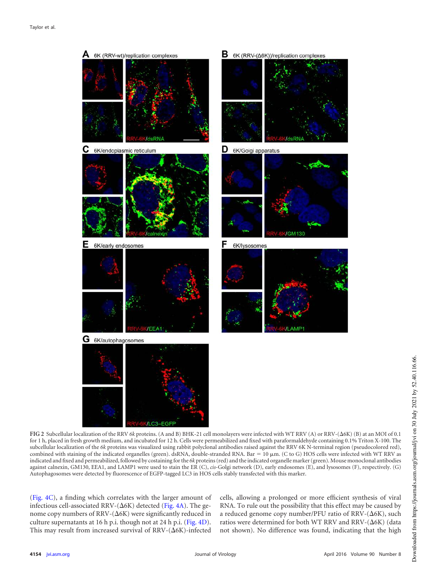

<span id="page-4-0"></span>FIG 2 Subcellular localization of the RRV 6k proteins. (A and B) BHK-21 cell monolayers were infected with WT RRV (A) or RRV-( $\Delta$ 6K) (B) at an MOI of 0.1 for 1 h, placed in fresh growth medium, and incubated for 12 h. Cells were permeabilized and fixed with paraformaldehyde containing 0.1% Triton X-100. The subcellular localization of the *6k* proteins was visualized using rabbit polyclonal antibodies raised against the RRV 6K N-terminal region (pseudocolored red), combined with staining of the indicated organelles (green). dsRNA, double-stranded RNA. Bar = 10  $\mu$ m. (C to G) HOS cells were infected with WT RRV as indicated and fixed and permeabilized, followed by costaining for the *6k* proteins (red) and the indicated organelle marker (green). Mouse monoclonal antibodies against calnexin, GM130, EEA1, and LAMP1 were used to stain the ER (C), *cis*-Golgi network (D), early endosomes (E), and lysosomes (F), respectively. (G) Autophagosomes were detected by fluorescence of EGFP-tagged LC3 in HOS cells stably transfected with this marker.

[\(Fig. 4C\)](#page-6-0), a finding which correlates with the larger amount of infectious cell-associated RRV- $(\Delta 6K)$  detected [\(Fig. 4A\)](#page-6-0). The genome copy numbers of RRV- $(\Delta 6K)$  were significantly reduced in culture supernatants at 16 h p.i. though not at 24 h p.i. [\(Fig. 4D\)](#page-6-0). This may result from increased survival of RRV- $(\Delta 6K)$ -infected

cells, allowing a prolonged or more efficient synthesis of viral RNA. To rule out the possibility that this effect may be caused by a reduced genome copy number/PFU ratio of RRV- $(\Delta 6K)$ , such ratios were determined for both WT RRV and RRV- $(\Delta 6K)$  (data not shown). No difference was found, indicating that the high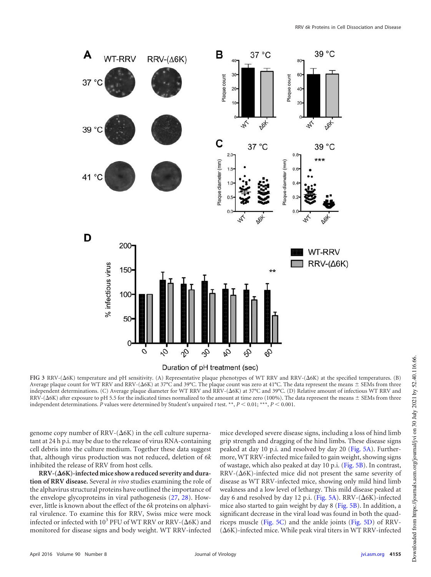

<span id="page-5-0"></span>FIG 3 RRV-( $\Delta$ 6K) temperature and pH sensitivity. (A) Representative plaque phenotypes of WT RRV and RRV-( $\Delta$ 6K) at the specified temperatures. (B) Average plaque count for WT RRV and RRV-( $\Delta$ 6K) at 37°C and 39°C. The plaque count was zero at 41°C. The data represent the means  $\pm$  SEMs from three independent determinations. (C) Average plaque diameter for WT RRV and RRV-( $\Delta$ 6K) at 37°C and 39°C. (D) Relative amount of infectious WT RRV and  $RRV-(\Delta 6K)$  after exposure to pH 5.5 for the indicated times normalized to the amount at time zero (100%). The data represent the means  $\pm$  SEMs from three independent determinations.  $\hat{P}$  values were determined by Student's unpaired  $t$  test. \*\*,  $P < 0.01$ ; \*\*\*,  $P < 0.001$ .

genome copy number of RRV- $(\Delta 6K)$  in the cell culture supernatant at 24 h p.i. may be due to the release of virus RNA-containing cell debris into the culture medium. Together these data suggest that, although virus production was not reduced, deletion of *6k* inhibited the release of RRV from host cells.

RRV-( $\Delta$ 6K)-infected mice show a reduced severity and dura**tion of RRV disease.** Several *in vivo* studies examining the role of the alphavirus structural proteins have outlined the importance of the envelope glycoproteins in viral pathogenesis [\(27,](#page-9-18) [28\)](#page-9-19). However, little is known about the effect of the *6k* proteins on alphaviral virulence. To examine this for RRV, Swiss mice were mock infected or infected with  $10^3$  PFU of WT RRV or RRV-( $\Delta$ 6K) and monitored for disease signs and body weight. WT RRV-infected

mice developed severe disease signs, including a loss of hind limb grip strength and dragging of the hind limbs. These disease signs peaked at day 10 p.i. and resolved by day 20 [\(Fig. 5A\)](#page-7-0). Furthermore, WT RRV-infected mice failed to gain weight, showing signs of wastage, which also peaked at day 10 p.i. [\(Fig. 5B\)](#page-7-0). In contrast,  $RRV-(\Delta 6K)$ -infected mice did not present the same severity of disease as WT RRV-infected mice, showing only mild hind limb weakness and a low level of lethargy. This mild disease peaked at day 6 and resolved by day 12 p.i. [\(Fig. 5A\)](#page-7-0). RRV-( $\Delta$ 6K)-infected mice also started to gain weight by day 8 [\(Fig. 5B\)](#page-7-0). In addition, a significant decrease in the viral load was found in both the quadriceps muscle [\(Fig. 5C\)](#page-7-0) and the ankle joints [\(Fig. 5D\)](#page-7-0) of RRV-  $(\Delta 6K)$ -infected mice. While peak viral titers in WT RRV-infected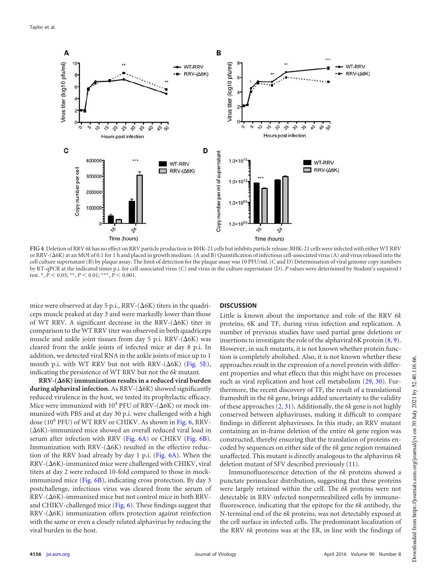

<span id="page-6-0"></span>**FIG 4** Deletion of RRV *6k* has no effect on RRV particle production in BHK-21 cells but inhibits particle release. BHK-21 cells were infected with either WT RRV or RRV-( $\Delta$ 6K) at an MOI of 0.1 for 1 h and placed in growth medium. (A and B) Quantification of infectious cell-associated virus (A) and virus released into the cell culture supernatant (B) by plaque assay. The limit of detection for the plaque assay was 10 PFU/ml. (C and D) Determination of viral genome copy numbers by RT-qPCR at the indicated times p.i. for cell-associated virus (C) and virus in the culture supernatant (D). *P* values were determined by Student's unpaired *t* test.  $*, \overline{P}$  < 0.05; \*\*,  $P$  < 0.01; \*\*\*,  $\overline{P}$  < 0.001.

mice were observed at day 5 p.i.,  $RRV-(\Delta 6K)$  titers in the quadriceps muscle peaked at day 3 and were markedly lower than those of WT RRV. A significant decrease in the RRV- $(\Delta 6K)$  titer in comparison to the WT RRV titer was observed in both quadriceps muscle and ankle joint tissues from day 5 p.i. RRV- $(\Delta 6K)$  was cleared from the ankle joints of infected mice at day 8 p.i. In addition, we detected viral RNA in the ankle joints of mice up to 1 month p.i. with WT RRV but not with RRV- $(\Delta 6K)$  [\(Fig. 5E\)](#page-7-0), indicating the persistence of WT RRV but not the *6k* mutant.

 $RRV-(\Delta 6K)$  immunization results in a reduced viral burden during alphaviral infection. As RRV-( $\Delta$ 6K) showed significantly reduced virulence in the host, we tested its prophylactic efficacy. Mice were immunized with  $10^4$  PFU of RRV-( $\Delta$ 6K) or mock immunized with PBS and at day 30 p.i. were challenged with a high dose (10<sup>6</sup> PFU) of WT RRV or CHIKV. As shown in [Fig. 6,](#page-8-7) RRV- $(Δ6K)$ -immunized mice showed an overall reduced viral load in serum after infection with RRV [\(Fig. 6A\)](#page-8-7) or CHIKV [\(Fig. 6B\)](#page-8-7). Immunization with  $RRV-(\Delta 6K)$  resulted in the effective reduction of the RRV load already by day 1 p.i. [\(Fig. 6A\)](#page-8-7). When the  $RRV-(\Delta 6K)$ -immunized mice were challenged with CHIKV, viral titers at day 2 were reduced 10-fold compared to those in mock-immunized mice [\(Fig. 6B\)](#page-8-7), indicating cross protection. By day 3 postchallenge, infectious virus was cleared from the serum of  $RRV-(\Delta 6K)$ -immunized mice but not control mice in both RRVand CHIKV-challenged mice [\(Fig. 6\)](#page-8-7). These findings suggest that  $RRV-(\Delta 6K)$  immunization offers protection against reinfection with the same or even a closely related alphavirus by reducing the viral burden in the host.

### **DISCUSSION**

Little is known about the importance and role of the RRV *6k* proteins, 6K and TF, during virus infection and replication. A number of previous studies have used partial gene deletions or insertions to investigate the role of the alphaviral 6K protein [\(8,](#page-9-0) [9\)](#page-9-1). However, in such mutants, it is not known whether protein function is completely abolished. Also, it is not known whether these approaches result in the expression of a novel protein with different properties and what effects that this might have on processes such as viral replication and host cell metabolism [\(29,](#page-9-20) [30\)](#page-9-21). Furthermore, the recent discovery of TF, the result of a translational frameshift in the *6k* gene, brings added uncertainty to the validity of these approaches [\(2,](#page-8-1) [31\)](#page-9-22). Additionally, the *6k* gene is not highly conserved between alphaviruses, making it difficult to compare findings in different alphaviruses. In this study, an RRV mutant containing an in-frame deletion of the entire *6k* gene region was constructed, thereby ensuring that the translation of proteins encoded by sequences on either side of the *6k* gene region remained unaffected. This mutant is directly analogous to the alphavirus *6k* deletion mutant of SFV described previously [\(11\)](#page-9-3).

Immunofluorescence detection of the *6k* proteins showed a punctate perinuclear distribution, suggesting that these proteins were largely retained within the cell. The *6k* proteins were not detectable in RRV-infected nonpermeabilized cells by immunofluorescence, indicating that the epitope for the *6k* antibody, the N-terminal end of the *6k* proteins, was not detectably exposed at the cell surface in infected cells. The predominant localization of the RRV *6k* proteins was at the ER, in line with the findings of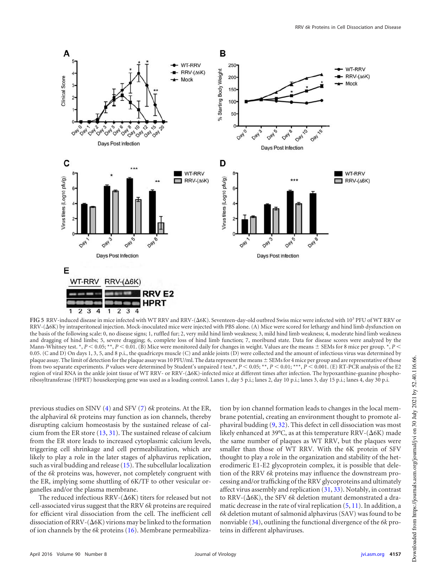

<span id="page-7-0"></span>FIG 5 RRV-induced disease in mice infected with WT RRV and RRV-( $\Delta$ 6K). Seventeen-day-old outbred Swiss mice were infected with 10<sup>3</sup> PFU of WT RRV or RRV-( $\Delta$ 6K) by intraperitoneal injection. Mock-inoculated mice were injected with PBS alone. (A) Mice were scored for lethargy and hind limb dysfunction on the basis of the following scale: 0, no disease signs; 1, ruffled fur; 2, very mild hind limb weakness; 3, mild hind limb weakness; 4, moderate hind limb weakness and dragging of hind limbs; 5, severe dragging; 6, complete loss of hind limb function; 7, moribund state. Data for disease scores were analyzed by the Mann-Whitney test. \*,  $P < 0.05$ , \*\*,  $P < 0.01$ . (B) Mice were monitored daily for changes in weight. Values are the means  $\pm$  SEMs for 8 mice per group. \*,  $P$ 0.05. (C and D) On days 1, 3, 5, and 8 p.i., the quadriceps muscle (C) and ankle joints (D) were collected and the amount of infectious virus was determined by plaque assay. The limit of detection for the plaque assay was 10 PFU/ml. The data represent the means  $\pm$  SEMs for 4 mice per group and are representative of those from two separate experiments. *P* values were determined by Student's unpaired *t* test.\*,  $P < 0.05$ ; \*\*,  $P < 0.01$ ; \*\*\*,  $P < 0.001$ . (E) RT-PCR analysis of the E2 region of viral RNA in the ankle joint tissue of WT RRV- or RRV-( $\Delta$ 6K)-infected mice at different times after infection. The hypoxanthine-guanine phosphoribosyltransferase (HPRT) housekeeping gene was used as a loading control. Lanes 1, day 5 p.i.; lanes 2, day 10 p.i.; lanes 3, day 15 p.i.; lanes 4, day 30 p.i.

previous studies on SINV [\(4\)](#page-8-3) and SFV [\(7\)](#page-8-6) *6k* proteins. At the ER, the alphaviral *6k* proteins may function as ion channels, thereby disrupting calcium homeostasis by the sustained release of calcium from the ER store [\(13,](#page-9-5) [31\)](#page-9-22). The sustained release of calcium from the ER store leads to increased cytoplasmic calcium levels, triggering cell shrinkage and cell permeabilization, which are likely to play a role in the later stages of alphavirus replication, such as viral budding and release [\(15\)](#page-9-7). The subcellular localization of the *6k* proteins was, however, not completely congruent with the ER, implying some shuttling of 6K/TF to other vesicular organelles and/or the plasma membrane.

The reduced infectious RRV- $(\Delta 6K)$  titers for released but not cell-associated virus suggest that the RRV *6k* proteins are required for efficient viral dissociation from the cell. The inefficient cell dissociation of RRV- $(\Delta 6K)$  virions may be linked to the formation of ion channels by the *6k* proteins [\(16\)](#page-9-23). Membrane permeabilization by ion channel formation leads to changes in the local membrane potential, creating an environment thought to promote alphaviral budding [\(9,](#page-9-1) [32\)](#page-9-24). This defect in cell dissociation was most likely enhanced at 39°C, as at this temperature RRV-( $\Delta$ 6K) made the same number of plaques as WT RRV, but the plaques were smaller than those of WT RRV. With the 6K protein of SFV thought to play a role in the organization and stability of the heterodimeric E1-E2 glycoprotein complex, it is possible that deletion of the RRV *6k* proteins may influence the downstream processing and/or trafficking of the RRV glycoproteins and ultimately affect virus assembly and replication [\(31,](#page-9-22) [33\)](#page-9-25). Notably, in contrast to RRV- $(\Delta 6K)$ , the SFV  $6k$  deletion mutant demonstrated a dramatic decrease in the rate of viral replication [\(5,](#page-8-4) [11\)](#page-9-3). In addition, a *6k* deletion mutant of salmonid alphavirus (SAV) was found to be nonviable [\(34\)](#page-9-26), outlining the functional divergence of the *6k* proteins in different alphaviruses.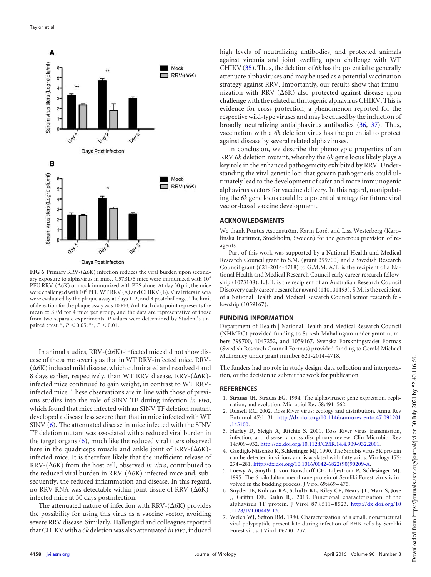

<span id="page-8-7"></span> $FIG 6$  Primary RRV- $(\Delta 6K)$  infection reduces the viral burden upon secondary exposure to alphavirus in mice. C57BL/6 mice were immunized with 10<sup>4</sup>  $PFU RRV-(\Delta6K)$  or mock immunized with PBS alone. At day 30 p.i., the mice were challenged with 10<sup>6</sup> PFU WT RRV (A) and CHIKV (B). Viral titers in sera were evaluated by the plaque assay at days 1, 2, and 3 postchallenge. The limit of detection for the plaque assay was 10 PFU/ml. Each data point represents the mean  $\pm$  SEM for 4 mice per group, and the data are representative of those from two separate experiments. *P* values were determined by Student's unpaired *t* test.  $*$ ,  $P < 0.05$ ;  $**$ ,  $P < 0.01$ .

In animal studies,  $\text{RRV-(}\Delta6\text{K})$ -infected mice did not show disease of the same severity as that in WT RRV-infected mice. RRV-  $(\Delta 6K)$  induced mild disease, which culminated and resolved 4 and 8 days earlier, respectively, than WT RRV disease. RRV- $(\Delta 6K)$ infected mice continued to gain weight, in contrast to WT RRVinfected mice. These observations are in line with those of previous studies into the role of SINV TF during infection *in vivo*, which found that mice infected with an SINV TF deletion mutant developed a disease less severe than that in mice infected with WT SINV [\(6\)](#page-8-5). The attenuated disease in mice infected with the SINV TF deletion mutant was associated with a reduced viral burden in the target organs [\(6\)](#page-8-5), much like the reduced viral titers observed here in the quadriceps muscle and ankle joint of  $RRV-(\Delta 6K)$ infected mice. It is therefore likely that the inefficient release of RRV-( $\Delta$ 6K) from the host cell, observed *in vitro*, contributed to the reduced viral burden in RRV- $(\Delta 6K)$ -infected mice and, subsequently, the reduced inflammation and disease. In this regard, no RRV RNA was detectable within joint tissue of RRV- $(\Delta 6K)$ infected mice at 30 days postinfection.

The attenuated nature of infection with  $RRV-(\Delta 6K)$  provides the possibility for using this virus as a vaccine vector, avoiding severe RRV disease. Similarly, Hallengärd and colleagues reported that CHIKV with a *6k* deletion was also attenuated *in vivo*, induced

high levels of neutralizing antibodies, and protected animals against viremia and joint swelling upon challenge with WT CHIKV [\(35\)](#page-9-27). Thus, the deletion of *6k* has the potential to generally attenuate alphaviruses and may be used as a potential vaccination strategy against RRV. Importantly, our results show that immunization with RRV- $(\Delta 6K)$  also protected against disease upon challenge with the related arthritogenic alphavirus CHIKV. This is evidence for cross protection, a phenomenon reported for the respective wild-type viruses and may be caused by the induction of broadly neutralizing antialphavirus antibodies [\(36,](#page-9-28) [37\)](#page-9-29). Thus, vaccination with a *6k* deletion virus has the potential to protect against disease by several related alphaviruses.

In conclusion, we describe the phenotypic properties of an RRV *6k* deletion mutant, whereby the *6k* gene locus likely plays a key role in the enhanced pathogenicity exhibited by RRV. Understanding the viral genetic loci that govern pathogenesis could ultimately lead to the development of safer and more immunogenic alphavirus vectors for vaccine delivery. In this regard, manipulating the *6k* gene locus could be a potential strategy for future viral vector-based vaccine development.

## **ACKNOWLEDGMENTS**

We thank Pontus Aspenström, Karin Loré, and Lisa Westerberg (Karolinska Institutet, Stockholm, Sweden) for the generous provision of reagents.

Part of this work was supported by a National Health and Medical Research Council grant to S.M. (grant 399700) and a Swedish Research Council grant (621-2014-4718) to G.M.M. A.T. is the recipient of a National Health and Medical Research Council early career research fellowship (1073108). L.J.H. is the recipient of an Australian Research Council Discovery early career researcher award (140101493). S.M. is the recipient of a National Health and Medical Research Council senior research fellowship (1059167).

## **FUNDING INFORMATION**

Department of Health | National Health and Medical Research Council (NHMRC) provided funding to Suresh Mahalingam under grant numbers 399700, 1047252, and 1059167. Svenska Forskningsrådet Formas (Swedish Research Council Formas) provided funding to Gerald Michael McInerney under grant number 621-2014-4718.

The funders had no role in study design, data collection and interpretation, or the decision to submit the work for publication.

## <span id="page-8-0"></span>**REFERENCES**

- <span id="page-8-1"></span>1. **Strauss JH, Strauss EG.** 1994. The alphaviruses: gene expression, replication, and evolution. Microbiol Rev **58:**491–562.
- <span id="page-8-2"></span>2. **Russell RC.** 2002. Ross River virus: ecology and distribution. Annu Rev Entomol **47:**1–31. http://dx.doi.org/10.1146/annurev.ento.47.091201 .145100.
- <span id="page-8-3"></span>3. **Harley D, Sleigh A, Ritchie S.** 2001. Ross River virus transmission, infection, and disease: a cross-disciplinary review. Clin Microbiol Rev **14:**909 –932. http://dx.doi.org/10.1128/CMR.14.4.909-932.2001.
- <span id="page-8-4"></span>4. **Gaedigk-Nitschko K, Schlesinger MJ.** 1990. The Sindbis virus 6K protein can be detected in virions and is acylated with fatty acids. Virology **175:** 274 –281. http://dx.doi.org/10.1016/0042-6822(90)90209-A.
- <span id="page-8-5"></span>5. **Loewy A, Smyth J, von Bonsdorff CH, Liljestrom P, Schlesinger MJ.** 1995. The 6-kilodalton membrane protein of Semliki Forest virus is involved in the budding process. J Virol **69:**469 –475.
- 6. **Snyder JE, Kulcsar KA, Schultz KL, Riley CP, Neary JT, Marr S, Jose J, Griffin DE, Kuhn RJ.** 2013. Functional characterization of the alphavirus TF protein. J Virol **87:**8511–8523. http://dx.doi.org/10 .1128/JVI.00449-13.
- <span id="page-8-6"></span>7. **Welch WJ, Sefton BM.** 1980. Characterization of a small, nonstructural viral polypeptide present late during infection of BHK cells by Semliki Forest virus. J Virol **33:**230 –237.